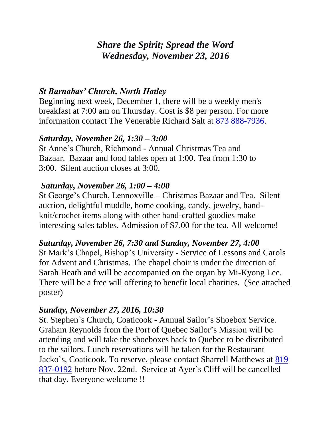# *Share the Spirit; Spread the Word Wednesday, November 23, 2016*

### *St Barnabas' Church, North Hatley*

Beginning next week, December 1, there will be a weekly men's breakfast at 7:00 am on Thursday. Cost is \$8 per person. For more information contact The Venerable Richard Salt at [873 888-7936.](tel:873%20888-7936)

#### *Saturday, November 26, 1:30 – 3:00*

St Anne's Church, Richmond - Annual Christmas Tea and Bazaar. Bazaar and food tables open at 1:00. Tea from 1:30 to 3:00. Silent auction closes at 3:00.

#### *Saturday, November 26, 1:00 – 4:00*

St George's Church, Lennoxville – Christmas Bazaar and Tea. Silent auction, delightful muddle, home cooking, candy, jewelry, handknit/crochet items along with other hand-crafted goodies make interesting sales tables. Admission of \$7.00 for the tea. All welcome!

### *Saturday, November 26, 7:30 and Sunday, November 27, 4:00*

St Mark's Chapel, Bishop's University - Service of Lessons and Carols for Advent and Christmas. The chapel choir is under the direction of Sarah Heath and will be accompanied on the organ by Mi-Kyong Lee. There will be a free will offering to benefit local charities. (See attached poster)

#### *Sunday, November 27, 2016, 10:30*

St. Stephen`s Church, Coaticook - Annual Sailor's Shoebox Service. Graham Reynolds from the Port of Quebec Sailor's Mission will be attending and will take the shoeboxes back to Quebec to be distributed to the sailors. Lunch reservations will be taken for the Restaurant Jacko`s, Coaticook. To reserve, please contact Sharrell Matthews at [819](tel:819%20837-0192)  [837-0192](tel:819%20837-0192) before Nov. 22nd. Service at Ayer`s Cliff will be cancelled that day. Everyone welcome !!